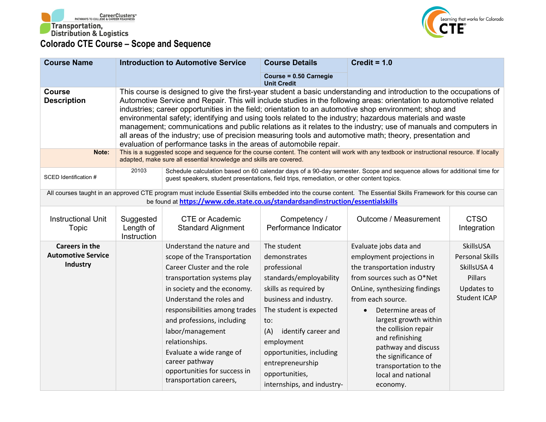



| <b>Course Name</b>                                             |                                       | <b>Introduction to Automotive Service</b>                                                                                                                                                                                                                                                                                                                                                       | <b>Course Details</b>                                                                                                                                                                                                                                                                                   | Credit = $1.0$                                                                                                                                                                                                                                                                                                                                                                                                                                                                                                                                                                                                                                                                                 |                                                                                                    |
|----------------------------------------------------------------|---------------------------------------|-------------------------------------------------------------------------------------------------------------------------------------------------------------------------------------------------------------------------------------------------------------------------------------------------------------------------------------------------------------------------------------------------|---------------------------------------------------------------------------------------------------------------------------------------------------------------------------------------------------------------------------------------------------------------------------------------------------------|------------------------------------------------------------------------------------------------------------------------------------------------------------------------------------------------------------------------------------------------------------------------------------------------------------------------------------------------------------------------------------------------------------------------------------------------------------------------------------------------------------------------------------------------------------------------------------------------------------------------------------------------------------------------------------------------|----------------------------------------------------------------------------------------------------|
|                                                                |                                       |                                                                                                                                                                                                                                                                                                                                                                                                 | Course = 0.50 Carnegie<br><b>Unit Credit</b>                                                                                                                                                                                                                                                            |                                                                                                                                                                                                                                                                                                                                                                                                                                                                                                                                                                                                                                                                                                |                                                                                                    |
| <b>Course</b><br><b>Description</b>                            |                                       | evaluation of performance tasks in the areas of automobile repair.                                                                                                                                                                                                                                                                                                                              |                                                                                                                                                                                                                                                                                                         | This course is designed to give the first-year student a basic understanding and introduction to the occupations of<br>Automotive Service and Repair. This will include studies in the following areas: orientation to automotive related<br>industries; career opportunities in the field; orientation to an automotive shop environment; shop and<br>environmental safety; identifying and using tools related to the industry; hazardous materials and waste<br>management; communications and public relations as it relates to the industry; use of manuals and computers in<br>all areas of the industry; use of precision measuring tools and automotive math; theory, presentation and |                                                                                                    |
| Note:                                                          |                                       | adapted, make sure all essential knowledge and skills are covered.                                                                                                                                                                                                                                                                                                                              |                                                                                                                                                                                                                                                                                                         | This is a suggested scope and sequence for the course content. The content will work with any textbook or instructional resource. If locally                                                                                                                                                                                                                                                                                                                                                                                                                                                                                                                                                   |                                                                                                    |
| SCED Identification #                                          | 20103                                 | guest speakers, student presentations, field trips, remediation, or other content topics.                                                                                                                                                                                                                                                                                                       |                                                                                                                                                                                                                                                                                                         | Schedule calculation based on 60 calendar days of a 90-day semester. Scope and sequence allows for additional time for                                                                                                                                                                                                                                                                                                                                                                                                                                                                                                                                                                         |                                                                                                    |
|                                                                |                                       | be found at https://www.cde.state.co.us/standardsandinstruction/essentialskills                                                                                                                                                                                                                                                                                                                 |                                                                                                                                                                                                                                                                                                         | All courses taught in an approved CTE program must include Essential Skills embedded into the course content. The Essential Skills Framework for this course can                                                                                                                                                                                                                                                                                                                                                                                                                                                                                                                               |                                                                                                    |
| <b>Instructional Unit</b><br>Topic                             | Suggested<br>Length of<br>Instruction | <b>CTE or Academic</b><br><b>Standard Alignment</b>                                                                                                                                                                                                                                                                                                                                             | Competency /<br>Performance Indicator                                                                                                                                                                                                                                                                   | Outcome / Measurement                                                                                                                                                                                                                                                                                                                                                                                                                                                                                                                                                                                                                                                                          | <b>CTSO</b><br>Integration                                                                         |
| <b>Careers in the</b><br><b>Automotive Service</b><br>Industry |                                       | Understand the nature and<br>scope of the Transportation<br>Career Cluster and the role<br>transportation systems play<br>in society and the economy.<br>Understand the roles and<br>responsibilities among trades<br>and professions, including<br>labor/management<br>relationships.<br>Evaluate a wide range of<br>career pathway<br>opportunities for success in<br>transportation careers, | The student<br>demonstrates<br>professional<br>standards/employability<br>skills as required by<br>business and industry.<br>The student is expected<br>to:<br>(A)<br>identify career and<br>employment<br>opportunities, including<br>entrepreneurship<br>opportunities,<br>internships, and industry- | Evaluate jobs data and<br>employment projections in<br>the transportation industry<br>from sources such as O*Net<br>OnLine, synthesizing findings<br>from each source.<br>Determine areas of<br>largest growth within<br>the collision repair<br>and refinishing<br>pathway and discuss<br>the significance of<br>transportation to the<br>local and national<br>economy.                                                                                                                                                                                                                                                                                                                      | SkillsUSA<br><b>Personal Skills</b><br>SkillsUSA 4<br>Pillars<br>Updates to<br><b>Student ICAP</b> |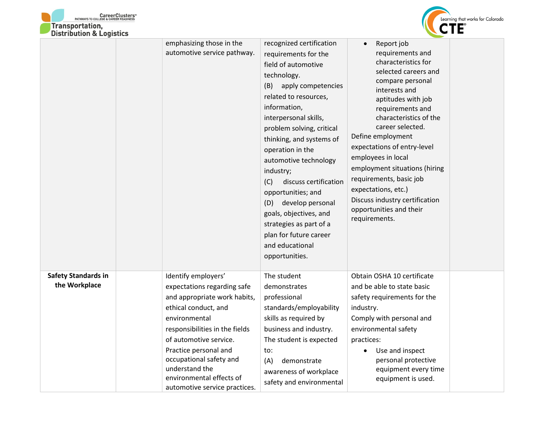



|                                             | emphasizing those in the<br>automotive service pathway.                                                                                                                                                                                                                                                                    | recognized certification<br>requirements for the<br>field of automotive<br>technology.<br>(B)<br>apply competencies<br>related to resources,<br>information,<br>interpersonal skills,<br>problem solving, critical<br>thinking, and systems of<br>operation in the<br>automotive technology<br>industry;<br>discuss certification<br>(C)<br>opportunities; and<br>develop personal<br>(D)<br>goals, objectives, and<br>strategies as part of a<br>plan for future career<br>and educational<br>opportunities. | Report job<br>$\bullet$<br>requirements and<br>characteristics for<br>selected careers and<br>compare personal<br>interests and<br>aptitudes with job<br>requirements and<br>characteristics of the<br>career selected.<br>Define employment<br>expectations of entry-level<br>employees in local<br>employment situations (hiring<br>requirements, basic job<br>expectations, etc.)<br>Discuss industry certification<br>opportunities and their<br>requirements. |  |
|---------------------------------------------|----------------------------------------------------------------------------------------------------------------------------------------------------------------------------------------------------------------------------------------------------------------------------------------------------------------------------|---------------------------------------------------------------------------------------------------------------------------------------------------------------------------------------------------------------------------------------------------------------------------------------------------------------------------------------------------------------------------------------------------------------------------------------------------------------------------------------------------------------|--------------------------------------------------------------------------------------------------------------------------------------------------------------------------------------------------------------------------------------------------------------------------------------------------------------------------------------------------------------------------------------------------------------------------------------------------------------------|--|
| <b>Safety Standards in</b><br>the Workplace | Identify employers'<br>expectations regarding safe<br>and appropriate work habits,<br>ethical conduct, and<br>environmental<br>responsibilities in the fields<br>of automotive service.<br>Practice personal and<br>occupational safety and<br>understand the<br>environmental effects of<br>automotive service practices. | The student<br>demonstrates<br>professional<br>standards/employability<br>skills as required by<br>business and industry.<br>The student is expected<br>to:<br>(A)<br>demonstrate<br>awareness of workplace<br>safety and environmental                                                                                                                                                                                                                                                                       | Obtain OSHA 10 certificate<br>and be able to state basic<br>safety requirements for the<br>industry.<br>Comply with personal and<br>environmental safety<br>practices:<br>Use and inspect<br>personal protective<br>equipment every time<br>equipment is used.                                                                                                                                                                                                     |  |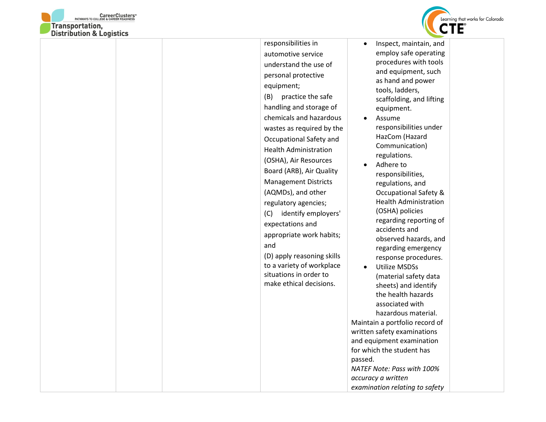



| responsibilities in<br>$\bullet$<br>automotive service<br>understand the use of<br>personal protective                                                                                                                                                                                                                                                                                                                                                                                                                                                                              | Inspect, maintain, and<br>employ safe operating                                                                                                                                                                                                                                                                                                                                                                                                                                                                                                                                                                                                                                                                                                                                                                            |
|-------------------------------------------------------------------------------------------------------------------------------------------------------------------------------------------------------------------------------------------------------------------------------------------------------------------------------------------------------------------------------------------------------------------------------------------------------------------------------------------------------------------------------------------------------------------------------------|----------------------------------------------------------------------------------------------------------------------------------------------------------------------------------------------------------------------------------------------------------------------------------------------------------------------------------------------------------------------------------------------------------------------------------------------------------------------------------------------------------------------------------------------------------------------------------------------------------------------------------------------------------------------------------------------------------------------------------------------------------------------------------------------------------------------------|
| equipment;<br>(B) practice the safe<br>handling and storage of<br>chemicals and hazardous<br>wastes as required by the<br>Occupational Safety and<br><b>Health Administration</b><br>(OSHA), Air Resources<br>$\bullet$<br>Board (ARB), Air Quality<br><b>Management Districts</b><br>(AQMDs), and other<br>regulatory agencies;<br>(C)<br>identify employers'<br>expectations and<br>appropriate work habits;<br>and<br>(D) apply reasoning skills<br>to a variety of workplace<br>$\bullet$<br>situations in order to<br>make ethical decisions.<br>passed.<br>accuracy a written | procedures with tools<br>and equipment, such<br>as hand and power<br>tools, ladders,<br>scaffolding, and lifting<br>equipment.<br>Assume<br>responsibilities under<br>HazCom (Hazard<br>Communication)<br>regulations.<br>Adhere to<br>responsibilities,<br>regulations, and<br><b>Occupational Safety &amp;</b><br><b>Health Administration</b><br>(OSHA) policies<br>regarding reporting of<br>accidents and<br>observed hazards, and<br>regarding emergency<br>response procedures.<br><b>Utilize MSDSs</b><br>(material safety data<br>sheets) and identify<br>the health hazards<br>associated with<br>hazardous material.<br>Maintain a portfolio record of<br>written safety examinations<br>and equipment examination<br>for which the student has<br>NATEF Note: Pass with 100%<br>examination relating to safety |
|                                                                                                                                                                                                                                                                                                                                                                                                                                                                                                                                                                                     |                                                                                                                                                                                                                                                                                                                                                                                                                                                                                                                                                                                                                                                                                                                                                                                                                            |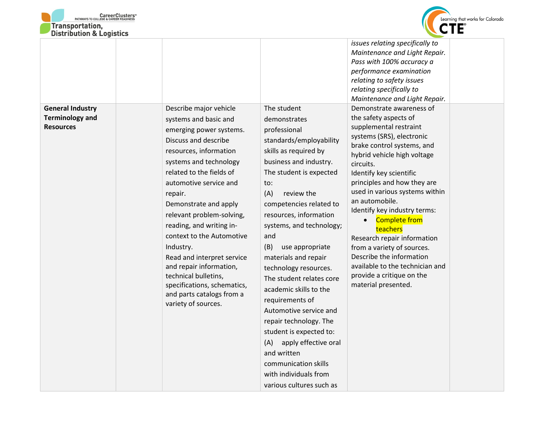



| DISTRIBUTION & LOGISTICS                          |                                                                                                                                                                                                                                                                                                                                                                                                                                                                      |                                                                                                                                                                                                                                                                                                                                                                                                                                                                                                                                                                                                         |                                                                                                                                                                                                                                                                                                                                                                                                                                                                                                 |  |
|---------------------------------------------------|----------------------------------------------------------------------------------------------------------------------------------------------------------------------------------------------------------------------------------------------------------------------------------------------------------------------------------------------------------------------------------------------------------------------------------------------------------------------|---------------------------------------------------------------------------------------------------------------------------------------------------------------------------------------------------------------------------------------------------------------------------------------------------------------------------------------------------------------------------------------------------------------------------------------------------------------------------------------------------------------------------------------------------------------------------------------------------------|-------------------------------------------------------------------------------------------------------------------------------------------------------------------------------------------------------------------------------------------------------------------------------------------------------------------------------------------------------------------------------------------------------------------------------------------------------------------------------------------------|--|
| <b>General Industry</b><br><b>Terminology and</b> | Describe major vehicle<br>systems and basic and                                                                                                                                                                                                                                                                                                                                                                                                                      | The student<br>demonstrates                                                                                                                                                                                                                                                                                                                                                                                                                                                                                                                                                                             | issues relating specifically to<br>Maintenance and Light Repair.<br>Pass with 100% accuracy a<br>performance examination<br>relating to safety issues<br>relating specifically to<br>Maintenance and Light Repair.<br>Demonstrate awareness of<br>the safety aspects of                                                                                                                                                                                                                         |  |
| <b>Resources</b>                                  | emerging power systems.<br>Discuss and describe<br>resources, information<br>systems and technology<br>related to the fields of<br>automotive service and<br>repair.<br>Demonstrate and apply<br>relevant problem-solving,<br>reading, and writing in-<br>context to the Automotive<br>Industry.<br>Read and interpret service<br>and repair information,<br>technical bulletins,<br>specifications, schematics,<br>and parts catalogs from a<br>variety of sources. | professional<br>standards/employability<br>skills as required by<br>business and industry.<br>The student is expected<br>to:<br>(A)<br>review the<br>competencies related to<br>resources, information<br>systems, and technology;<br>and<br>(B)<br>use appropriate<br>materials and repair<br>technology resources.<br>The student relates core<br>academic skills to the<br>requirements of<br>Automotive service and<br>repair technology. The<br>student is expected to:<br>apply effective oral<br>(A)<br>and written<br>communication skills<br>with individuals from<br>various cultures such as | supplemental restraint<br>systems (SRS), electronic<br>brake control systems, and<br>hybrid vehicle high voltage<br>circuits.<br>Identify key scientific<br>principles and how they are<br>used in various systems within<br>an automobile.<br>Identify key industry terms:<br><b>Complete from</b><br>teachers<br>Research repair information<br>from a variety of sources.<br>Describe the information<br>available to the technician and<br>provide a critique on the<br>material presented. |  |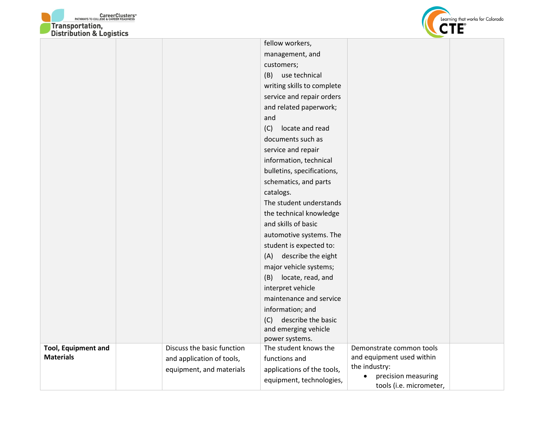



|                            |                            | fellow workers,                         |                           |  |
|----------------------------|----------------------------|-----------------------------------------|---------------------------|--|
|                            |                            | management, and                         |                           |  |
|                            |                            | customers;                              |                           |  |
|                            |                            | (B) use technical                       |                           |  |
|                            |                            | writing skills to complete              |                           |  |
|                            |                            | service and repair orders               |                           |  |
|                            |                            | and related paperwork;                  |                           |  |
|                            |                            | and                                     |                           |  |
|                            |                            | (C)<br>locate and read                  |                           |  |
|                            |                            | documents such as                       |                           |  |
|                            |                            | service and repair                      |                           |  |
|                            |                            | information, technical                  |                           |  |
|                            |                            | bulletins, specifications,              |                           |  |
|                            |                            | schematics, and parts                   |                           |  |
|                            |                            | catalogs.                               |                           |  |
|                            |                            | The student understands                 |                           |  |
|                            |                            | the technical knowledge                 |                           |  |
|                            |                            | and skills of basic                     |                           |  |
|                            |                            | automotive systems. The                 |                           |  |
|                            |                            | student is expected to:                 |                           |  |
|                            |                            | describe the eight<br>(A)               |                           |  |
|                            |                            | major vehicle systems;                  |                           |  |
|                            |                            | (B) locate, read, and                   |                           |  |
|                            |                            | interpret vehicle                       |                           |  |
|                            |                            | maintenance and service                 |                           |  |
|                            |                            | information; and                        |                           |  |
|                            |                            | describe the basic<br>(C)               |                           |  |
|                            |                            | and emerging vehicle                    |                           |  |
| <b>Tool, Equipment and</b> | Discuss the basic function | power systems.<br>The student knows the | Demonstrate common tools  |  |
| <b>Materials</b>           |                            | functions and                           | and equipment used within |  |
|                            | and application of tools,  |                                         | the industry:             |  |
|                            | equipment, and materials   | applications of the tools,              | precision measuring       |  |
|                            |                            | equipment, technologies,                | tools (i.e. micrometer,   |  |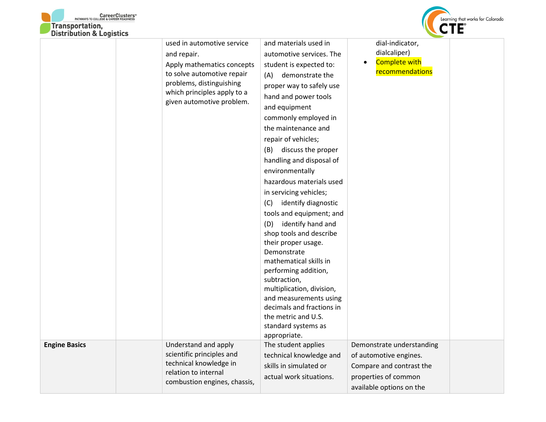



|                      | used in automotive service<br>and repair.<br>Apply mathematics concepts<br>to solve automotive repair<br>problems, distinguishing<br>which principles apply to a<br>given automotive problem. | and materials used in<br>automotive services. The<br>student is expected to:<br>demonstrate the<br>(A)<br>proper way to safely use<br>hand and power tools<br>and equipment<br>commonly employed in<br>the maintenance and<br>repair of vehicles;<br>discuss the proper<br>(B)<br>handling and disposal of<br>environmentally<br>hazardous materials used<br>in servicing vehicles;<br>identify diagnostic<br>(C)<br>tools and equipment; and<br>identify hand and<br>(D)<br>shop tools and describe<br>their proper usage.<br>Demonstrate | dial-indicator,<br>dialcaliper)<br><b>Complete with</b><br>$\bullet$<br>recommendations                                             |  |
|----------------------|-----------------------------------------------------------------------------------------------------------------------------------------------------------------------------------------------|--------------------------------------------------------------------------------------------------------------------------------------------------------------------------------------------------------------------------------------------------------------------------------------------------------------------------------------------------------------------------------------------------------------------------------------------------------------------------------------------------------------------------------------------|-------------------------------------------------------------------------------------------------------------------------------------|--|
|                      |                                                                                                                                                                                               | mathematical skills in<br>performing addition,<br>subtraction,<br>multiplication, division,<br>and measurements using<br>decimals and fractions in<br>the metric and U.S.<br>standard systems as<br>appropriate.                                                                                                                                                                                                                                                                                                                           |                                                                                                                                     |  |
| <b>Engine Basics</b> | Understand and apply<br>scientific principles and<br>technical knowledge in<br>relation to internal<br>combustion engines, chassis,                                                           | The student applies<br>technical knowledge and<br>skills in simulated or<br>actual work situations.                                                                                                                                                                                                                                                                                                                                                                                                                                        | Demonstrate understanding<br>of automotive engines.<br>Compare and contrast the<br>properties of common<br>available options on the |  |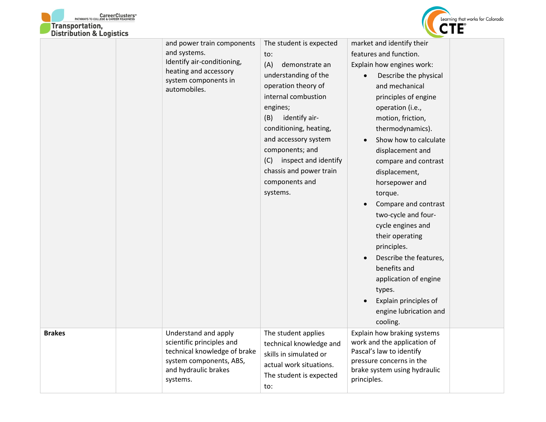



|               | and power train components<br>and systems.<br>Identify air-conditioning,<br>heating and accessory<br>system components in<br>automobiles.        | The student is expected<br>to:<br>(A)<br>demonstrate an<br>understanding of the<br>operation theory of<br>internal combustion<br>engines;<br>identify air-<br>(B)<br>conditioning, heating,<br>and accessory system<br>components; and<br>inspect and identify<br>(C)<br>chassis and power train<br>components and<br>systems. | market and identify their<br>features and function.<br>Explain how engines work:<br>Describe the physical<br>and mechanical<br>principles of engine<br>operation (i.e.,<br>motion, friction,<br>thermodynamics).<br>Show how to calculate<br>displacement and<br>compare and contrast<br>displacement,<br>horsepower and<br>torque.<br>Compare and contrast<br>two-cycle and four-<br>cycle engines and<br>their operating<br>principles.<br>Describe the features,<br>benefits and<br>application of engine<br>types.<br>Explain principles of<br>engine lubrication and<br>cooling. |  |
|---------------|--------------------------------------------------------------------------------------------------------------------------------------------------|--------------------------------------------------------------------------------------------------------------------------------------------------------------------------------------------------------------------------------------------------------------------------------------------------------------------------------|---------------------------------------------------------------------------------------------------------------------------------------------------------------------------------------------------------------------------------------------------------------------------------------------------------------------------------------------------------------------------------------------------------------------------------------------------------------------------------------------------------------------------------------------------------------------------------------|--|
| <b>Brakes</b> | Understand and apply<br>scientific principles and<br>technical knowledge of brake<br>system components, ABS,<br>and hydraulic brakes<br>systems. | The student applies<br>technical knowledge and<br>skills in simulated or<br>actual work situations.<br>The student is expected<br>to:                                                                                                                                                                                          | Explain how braking systems<br>work and the application of<br>Pascal's law to identify<br>pressure concerns in the<br>brake system using hydraulic<br>principles.                                                                                                                                                                                                                                                                                                                                                                                                                     |  |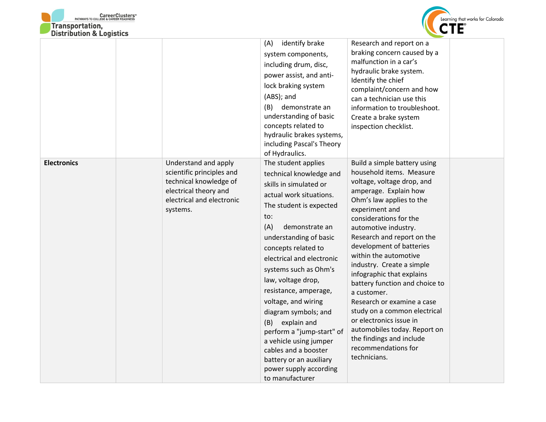



|                    |                                                                                                                                               | identify brake<br>(A)<br>system components,<br>including drum, disc,<br>power assist, and anti-<br>lock braking system<br>(ABS); and<br>(B)<br>demonstrate an<br>understanding of basic<br>concepts related to<br>hydraulic brakes systems,<br>including Pascal's Theory<br>of Hydraulics.                                                                                                                                                                                                                                                       | Research and report on a<br>braking concern caused by a<br>malfunction in a car's<br>hydraulic brake system.<br>Identify the chief<br>complaint/concern and how<br>can a technician use this<br>information to troubleshoot.<br>Create a brake system<br>inspection checklist.                                                                                                                                                                                                                                                                                                                            |  |
|--------------------|-----------------------------------------------------------------------------------------------------------------------------------------------|--------------------------------------------------------------------------------------------------------------------------------------------------------------------------------------------------------------------------------------------------------------------------------------------------------------------------------------------------------------------------------------------------------------------------------------------------------------------------------------------------------------------------------------------------|-----------------------------------------------------------------------------------------------------------------------------------------------------------------------------------------------------------------------------------------------------------------------------------------------------------------------------------------------------------------------------------------------------------------------------------------------------------------------------------------------------------------------------------------------------------------------------------------------------------|--|
| <b>Electronics</b> | Understand and apply<br>scientific principles and<br>technical knowledge of<br>electrical theory and<br>electrical and electronic<br>systems. | The student applies<br>technical knowledge and<br>skills in simulated or<br>actual work situations.<br>The student is expected<br>to:<br>(A)<br>demonstrate an<br>understanding of basic<br>concepts related to<br>electrical and electronic<br>systems such as Ohm's<br>law, voltage drop,<br>resistance, amperage,<br>voltage, and wiring<br>diagram symbols; and<br>explain and<br>(B)<br>perform a "jump-start" of<br>a vehicle using jumper<br>cables and a booster<br>battery or an auxiliary<br>power supply according<br>to manufacturer | Build a simple battery using<br>household items. Measure<br>voltage, voltage drop, and<br>amperage. Explain how<br>Ohm's law applies to the<br>experiment and<br>considerations for the<br>automotive industry.<br>Research and report on the<br>development of batteries<br>within the automotive<br>industry. Create a simple<br>infographic that explains<br>battery function and choice to<br>a customer.<br>Research or examine a case<br>study on a common electrical<br>or electronics issue in<br>automobiles today. Report on<br>the findings and include<br>recommendations for<br>technicians. |  |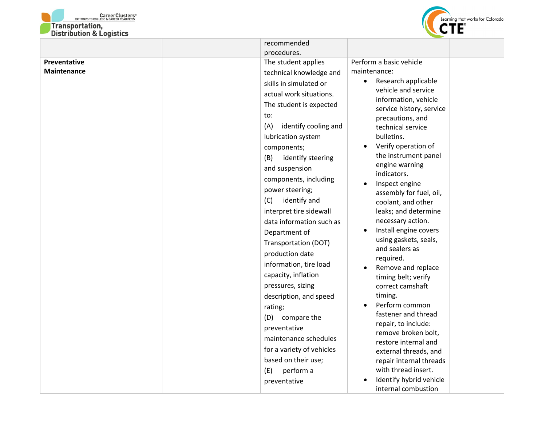



|                                    | recommended<br>procedures.                                                                                                                                                                                                                                                                                                                                                                                                                                                                                                                                                                                                                                                                                      |                                                                                                                                                                                                                                                                                                                                                                                                                                                                                                                                                                                                                                                                                                                                                                                                                                                  |
|------------------------------------|-----------------------------------------------------------------------------------------------------------------------------------------------------------------------------------------------------------------------------------------------------------------------------------------------------------------------------------------------------------------------------------------------------------------------------------------------------------------------------------------------------------------------------------------------------------------------------------------------------------------------------------------------------------------------------------------------------------------|--------------------------------------------------------------------------------------------------------------------------------------------------------------------------------------------------------------------------------------------------------------------------------------------------------------------------------------------------------------------------------------------------------------------------------------------------------------------------------------------------------------------------------------------------------------------------------------------------------------------------------------------------------------------------------------------------------------------------------------------------------------------------------------------------------------------------------------------------|
| Preventative<br><b>Maintenance</b> | The student applies<br>technical knowledge and<br>skills in simulated or<br>actual work situations.<br>The student is expected<br>to:<br>identify cooling and<br>(A)<br>lubrication system<br>components;<br>(B)<br>identify steering<br>and suspension<br>components, including<br>power steering;<br>identify and<br>(C)<br>interpret tire sidewall<br>data information such as<br>Department of<br>Transportation (DOT)<br>production date<br>information, tire load<br>capacity, inflation<br>pressures, sizing<br>description, and speed<br>rating;<br>compare the<br>(D)<br>preventative<br>maintenance schedules<br>for a variety of vehicles<br>based on their use;<br>perform a<br>(E)<br>preventative | Perform a basic vehicle<br>maintenance:<br>Research applicable<br>$\bullet$<br>vehicle and service<br>information, vehicle<br>service history, service<br>precautions, and<br>technical service<br>bulletins.<br>Verify operation of<br>the instrument panel<br>engine warning<br>indicators.<br>Inspect engine<br>assembly for fuel, oil,<br>coolant, and other<br>leaks; and determine<br>necessary action.<br>Install engine covers<br>$\bullet$<br>using gaskets, seals,<br>and sealers as<br>required.<br>Remove and replace<br>$\bullet$<br>timing belt; verify<br>correct camshaft<br>timing.<br>Perform common<br>fastener and thread<br>repair, to include:<br>remove broken bolt,<br>restore internal and<br>external threads, and<br>repair internal threads<br>with thread insert.<br>Identify hybrid vehicle<br>internal combustion |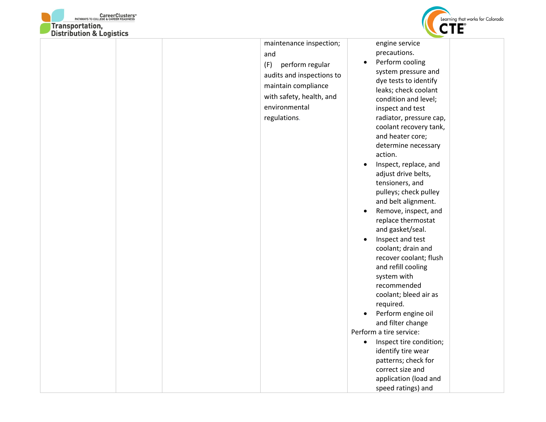

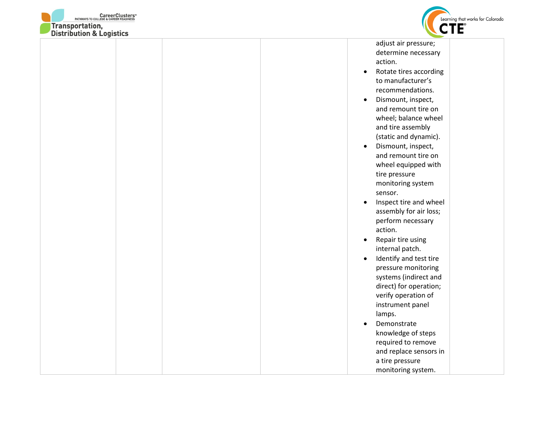



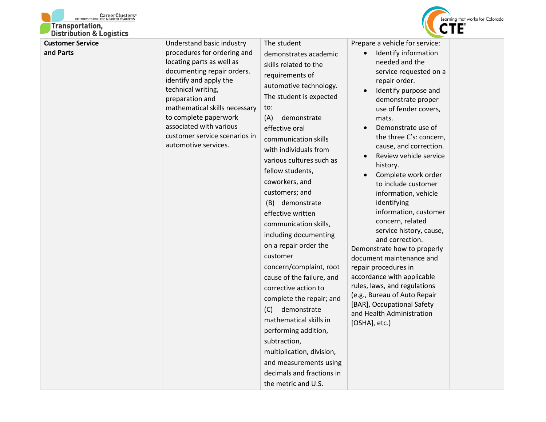



| <b>Customer Service</b><br>and Parts | Understand basic industry<br>procedures for ordering and<br>locating parts as well as<br>documenting repair orders.<br>identify and apply the<br>technical writing,<br>preparation and<br>mathematical skills necessary<br>to complete paperwork<br>associated with various<br>customer service scenarios in<br>automotive services. | The student<br>demonstrates academic<br>skills related to the<br>requirements of<br>automotive technology.<br>The student is expected<br>to:<br>(A)<br>demonstrate<br>effective oral<br>communication skills<br>with individuals from<br>various cultures such as<br>fellow students,<br>coworkers, and<br>customers; and<br>(B) demonstrate<br>effective written<br>communication skills,<br>including documenting<br>on a repair order the<br>customer<br>concern/complaint, root<br>cause of the failure, and<br>corrective action to<br>complete the repair; and<br>demonstrate<br>(C)<br>mathematical skills in<br>performing addition,<br>subtraction,<br>multiplication, division,<br>and measurements using<br>decimals and fractions in<br>the metric and U.S. | Prepare a vehicle for service:<br>Identify information<br>needed and the<br>service requested on a<br>repair order.<br>Identify purpose and<br>$\bullet$<br>demonstrate proper<br>use of fender covers,<br>mats.<br>Demonstrate use of<br>$\bullet$<br>the three C's: concern,<br>cause, and correction.<br>Review vehicle service<br>$\bullet$<br>history.<br>Complete work order<br>$\bullet$<br>to include customer<br>information, vehicle<br>identifying<br>information, customer<br>concern, related<br>service history, cause,<br>and correction.<br>Demonstrate how to properly<br>document maintenance and<br>repair procedures in<br>accordance with applicable<br>rules, laws, and regulations<br>(e.g., Bureau of Auto Repair<br>[BAR], Occupational Safety<br>and Health Administration<br>[OSHA], etc.) |
|--------------------------------------|--------------------------------------------------------------------------------------------------------------------------------------------------------------------------------------------------------------------------------------------------------------------------------------------------------------------------------------|-------------------------------------------------------------------------------------------------------------------------------------------------------------------------------------------------------------------------------------------------------------------------------------------------------------------------------------------------------------------------------------------------------------------------------------------------------------------------------------------------------------------------------------------------------------------------------------------------------------------------------------------------------------------------------------------------------------------------------------------------------------------------|-----------------------------------------------------------------------------------------------------------------------------------------------------------------------------------------------------------------------------------------------------------------------------------------------------------------------------------------------------------------------------------------------------------------------------------------------------------------------------------------------------------------------------------------------------------------------------------------------------------------------------------------------------------------------------------------------------------------------------------------------------------------------------------------------------------------------|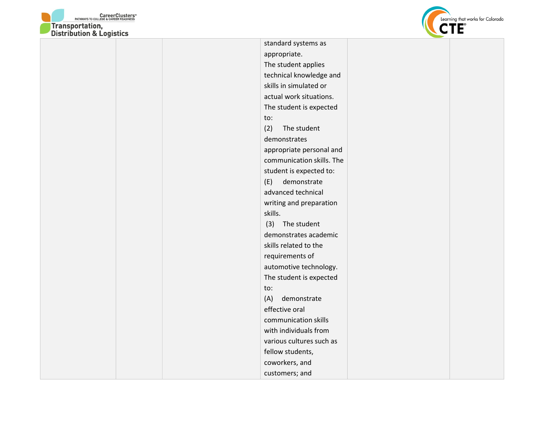



appropriate. The student applies technical knowledge and skills in simulated or actual work situations. The student is expected to: (2) The student demonstrates appropriate personal and communication skills. The student is expected to: (E) demonstrate advanced technical writing and preparation skills. (3) The student demonstrates academic skills related to the requirements of automotive technology. The student is expected to: (A) demonstrate effective oral communication skills with individuals from various cultures such as fellow students, coworkers, and customers; and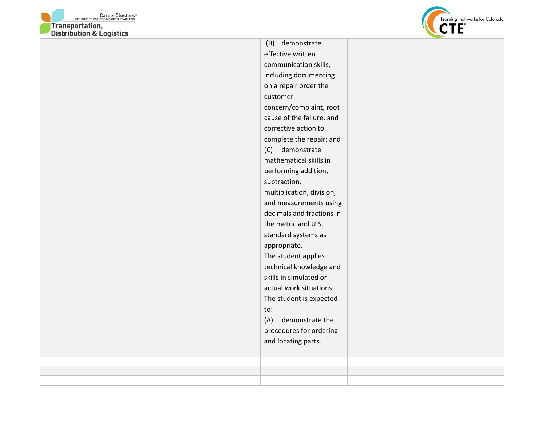



| concern/complaint, root<br>cause of the failure, and<br>corrective action to<br>complete the repair; and<br>demonstrate<br>(C)<br>mathematical skills in<br>performing addition,<br>subtraction,<br>multiplication, division,<br>and measurements using<br>decimals and fractions in<br>the metric and U.S.<br>standard systems as<br>appropriate.<br>The student applies<br>technical knowledge and<br>skills in simulated or<br>actual work situations.<br>The student is expected<br>to:<br>(A)<br>demonstrate the<br>procedures for ordering<br>and locating parts. |  | (B) demonstrate<br>effective written<br>communication skills,<br>including documenting<br>on a repair order the<br>customer |  |
|-------------------------------------------------------------------------------------------------------------------------------------------------------------------------------------------------------------------------------------------------------------------------------------------------------------------------------------------------------------------------------------------------------------------------------------------------------------------------------------------------------------------------------------------------------------------------|--|-----------------------------------------------------------------------------------------------------------------------------|--|
|                                                                                                                                                                                                                                                                                                                                                                                                                                                                                                                                                                         |  |                                                                                                                             |  |
|                                                                                                                                                                                                                                                                                                                                                                                                                                                                                                                                                                         |  |                                                                                                                             |  |
|                                                                                                                                                                                                                                                                                                                                                                                                                                                                                                                                                                         |  |                                                                                                                             |  |
|                                                                                                                                                                                                                                                                                                                                                                                                                                                                                                                                                                         |  |                                                                                                                             |  |
|                                                                                                                                                                                                                                                                                                                                                                                                                                                                                                                                                                         |  |                                                                                                                             |  |